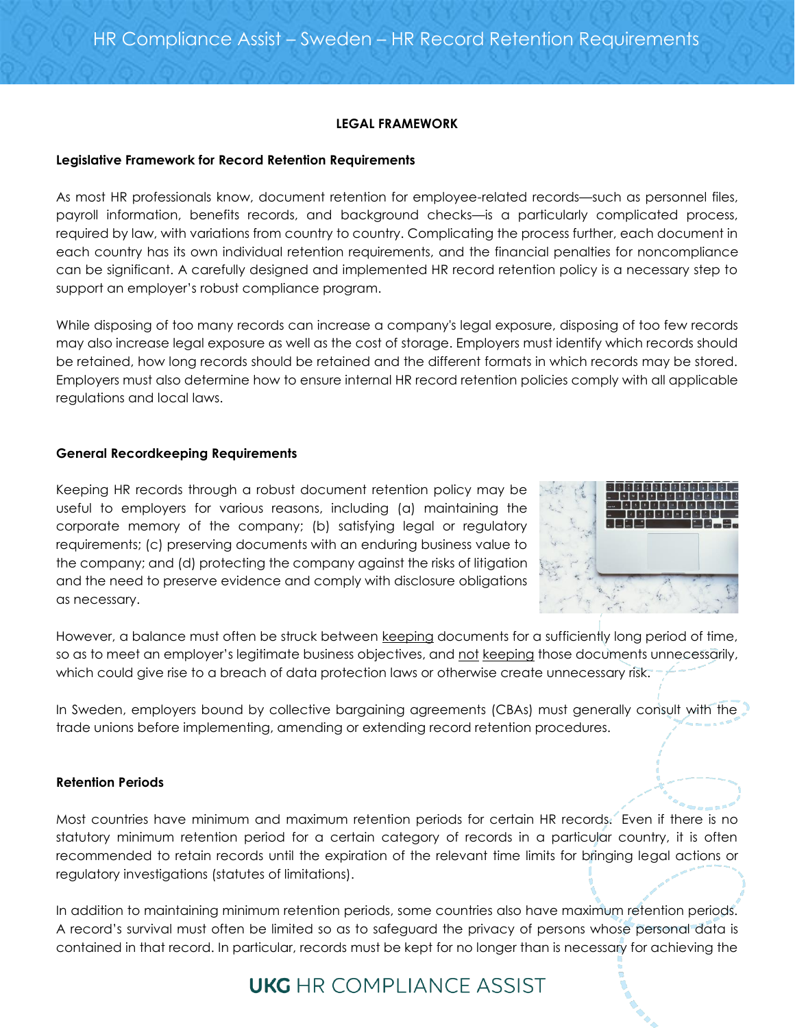# **LEGAL FRAMEWORK**

### **Legislative Framework for Record Retention Requirements**

As most HR professionals know, document retention for employee-related records—such as personnel files, payroll information, benefits records, and background checks—is a particularly complicated process, required by law, with variations from country to country. Complicating the process further, each document in each country has its own individual retention requirements, and the financial penalties for noncompliance can be significant. A carefully designed and implemented HR record retention policy is a necessary step to support an employer's robust compliance program.

While disposing of too many records can increase a company's legal exposure, disposing of too few records may also increase legal exposure as well as the cost of storage. Employers must identify which records should be retained, how long records should be retained and the different formats in which records may be stored. Employers must also determine how to ensure internal HR record retention policies comply with all applicable regulations and local laws.

# **General Recordkeeping Requirements**

Keeping HR records through a robust document retention policy may be useful to employers for various reasons, including (a) maintaining the corporate memory of the company; (b) satisfying legal or regulatory requirements; (c) preserving documents with an enduring business value to the company; and (d) protecting the company against the risks of litigation and the need to preserve evidence and comply with disclosure obligations as necessary.



However, a balance must often be struck between keeping documents for a sufficiently long period of time, so as to meet an employer's legitimate business objectives, and not keeping those documents unnecessarily, which could give rise to a breach of data protection laws or otherwise create unnecessary risk.

In Sweden, employers bound by collective bargaining agreements (CBAs) must generally consult with the trade unions before implementing, amending or extending record retention procedures.

# **Retention Periods**

Most countries have minimum and maximum retention periods for certain HR records. Even if there is no statutory minimum retention period for a certain category of records in a particular country, it is often recommended to retain records until the expiration of the relevant time limits for bringing legal actions or regulatory investigations (statutes of limitations).

In addition to maintaining minimum retention periods, some countries also have maximum retention periods. A record's survival must often be limited so as to safeguard the privacy of persons whose personal data is contained in that record. In particular, records must be kept for no longer than is necessary for achieving the

# **UKG** HR COMPLIANCE ASSIST